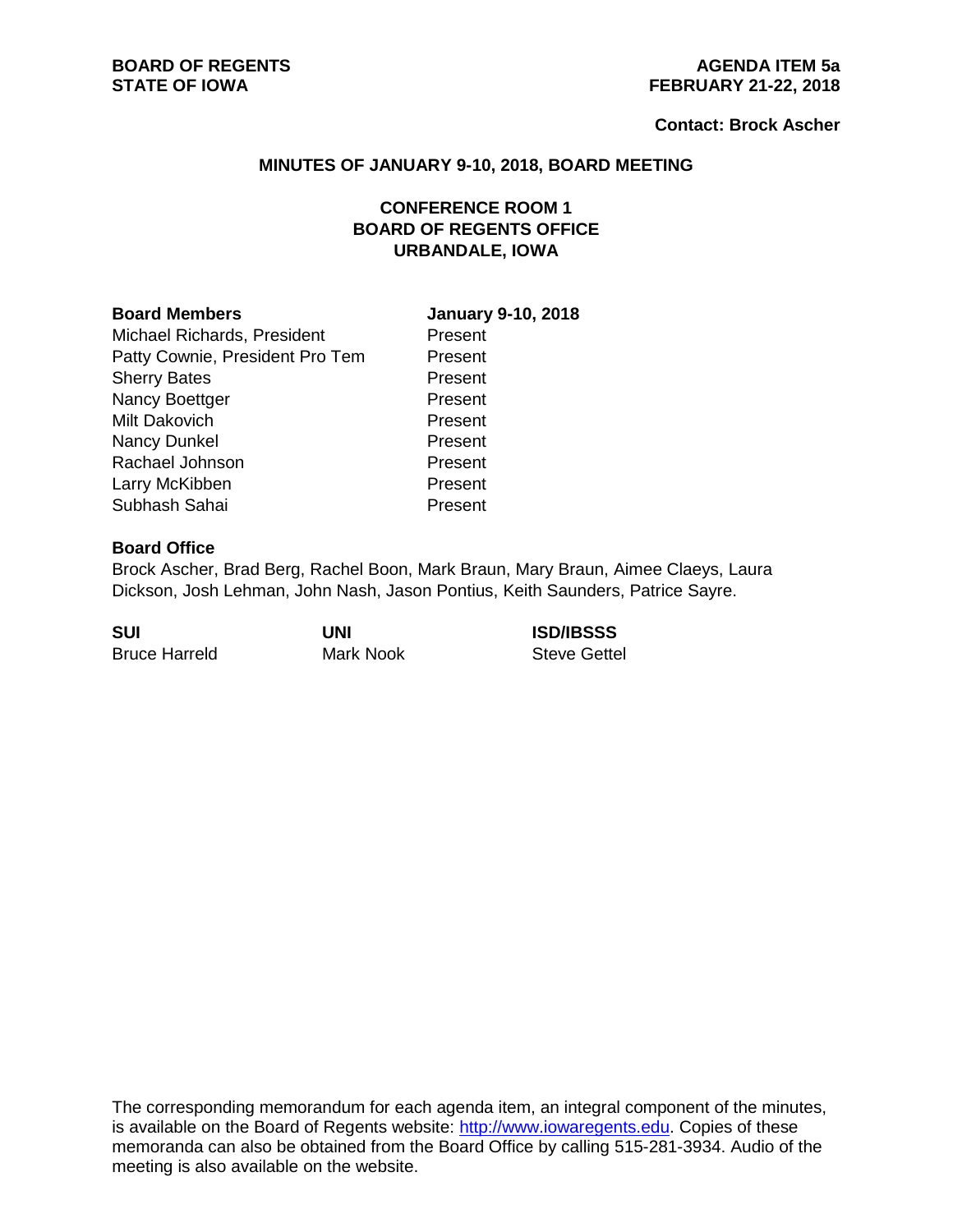#### **Contact: Brock Ascher**

#### **MINUTES OF JANUARY 9-10, 2018, BOARD MEETING**

# **CONFERENCE ROOM 1 BOARD OF REGENTS OFFICE URBANDALE, IOWA**

Michael Richards, President Present Patty Cownie, President Pro Tem Present Sherry Bates **Present** Nancy Boettger **Present** Milt Dakovich **Present** Nancy Dunkel Present Rachael Johnson **Present** Larry McKibben **Present** Subhash Sahai Present

## **Board Members January 9-10, 2018**

## **Board Office**

Brock Ascher, Brad Berg, Rachel Boon, Mark Braun, Mary Braun, Aimee Claeys, Laura Dickson, Josh Lehman, John Nash, Jason Pontius, Keith Saunders, Patrice Sayre.

**SUI UNI ISD/IBSSS** Bruce Harreld Mark Nook Steve Gettel

The corresponding memorandum for each agenda item, an integral component of the minutes, is available on the Board of Regents website: [http://www.iowaregents.edu.](http://www.iowaregents.edu/) Copies of these memoranda can also be obtained from the Board Office by calling 515-281-3934. Audio of the meeting is also available on the website.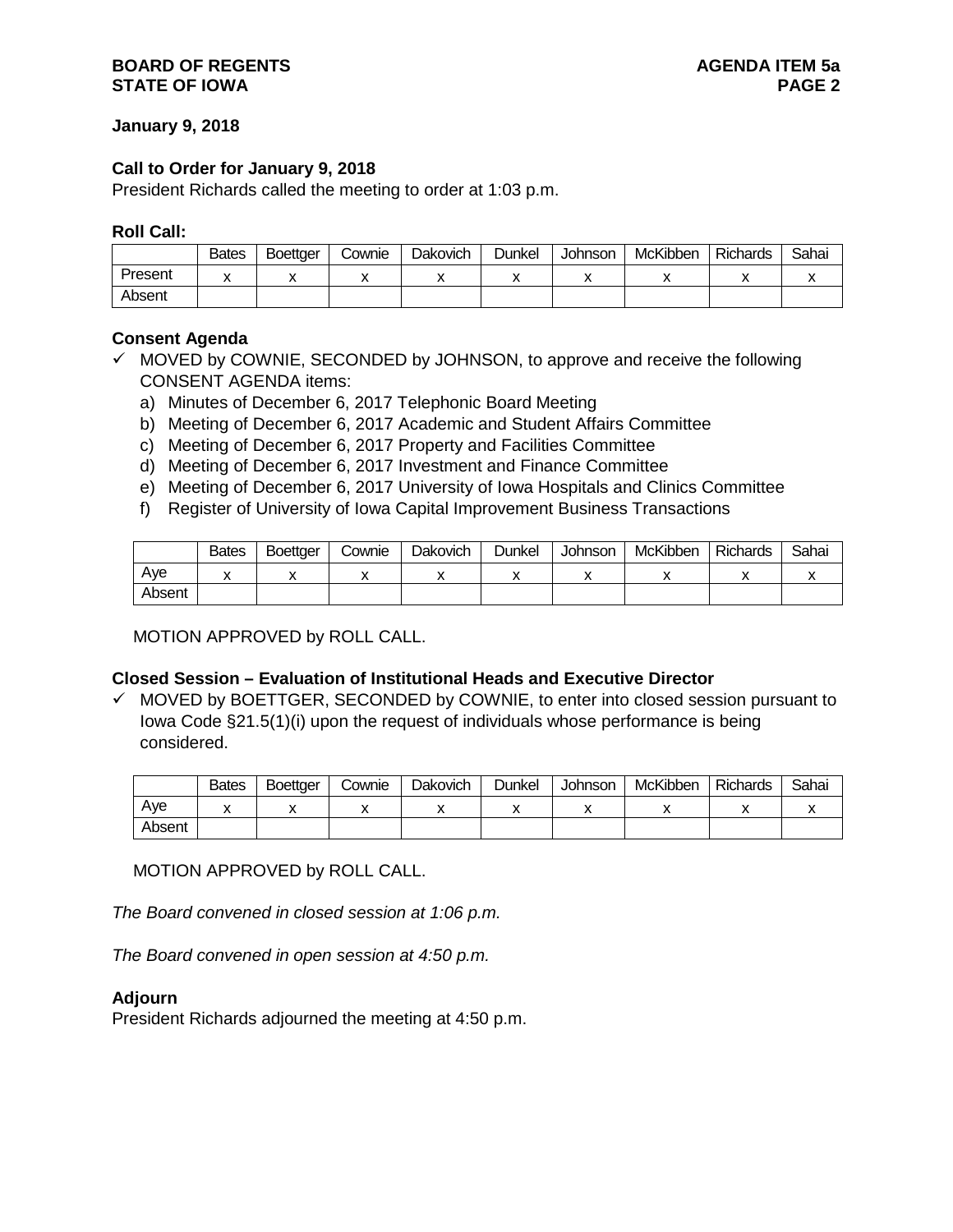## **BOARD OF REGENTS AGENDA ITEM 5a STATE OF IOWA**

## **January 9, 2018**

## **Call to Order for January 9, 2018**

President Richards called the meeting to order at 1:03 p.m.

## **Roll Call:**

|         | <b>Bates</b> | <b>Boettaer</b> | Cownie | Dakovich | Dunkel | Johnson | McKibben | <b>Richards</b> | Sahai |
|---------|--------------|-----------------|--------|----------|--------|---------|----------|-----------------|-------|
| Present |              |                 |        |          |        |         |          |                 |       |
| Absent  |              |                 |        |          |        |         |          |                 |       |

#### **Consent Agenda**

- $\checkmark$  MOVED by COWNIE, SECONDED by JOHNSON, to approve and receive the following CONSENT AGENDA items:
	- a) Minutes of December 6, 2017 Telephonic Board Meeting
	- b) Meeting of December 6, 2017 Academic and Student Affairs Committee
	- c) Meeting of December 6, 2017 Property and Facilities Committee
	- d) Meeting of December 6, 2017 Investment and Finance Committee
	- e) Meeting of December 6, 2017 University of Iowa Hospitals and Clinics Committee
	- f) Register of University of Iowa Capital Improvement Business Transactions

|        | <b>Bates</b> | <b>Boettger</b> | Cownie | Dakovich | Dunkel | Johnson | McKibben  | <b>Richards</b> | Sahai |
|--------|--------------|-----------------|--------|----------|--------|---------|-----------|-----------------|-------|
| Ave    |              |                 |        |          | ,,     |         | $\lambda$ |                 | ,,    |
| Absent |              |                 |        |          |        |         |           |                 |       |

MOTION APPROVED by ROLL CALL.

# **Closed Session – Evaluation of Institutional Heads and Executive Director**

 $\checkmark$  MOVED by BOETTGER, SECONDED by COWNIE, to enter into closed session pursuant to Iowa Code §21.5(1)(i) upon the request of individuals whose performance is being considered.

|        | <b>Bates</b> | <b>Boettaer</b> | Cownie | Dakovich | Dunkel | Johnson | McKibben | Richards | Sahai |
|--------|--------------|-----------------|--------|----------|--------|---------|----------|----------|-------|
| Ave    |              |                 |        |          |        |         |          |          |       |
| Absent |              |                 |        |          |        |         |          |          |       |

MOTION APPROVED by ROLL CALL.

*The Board convened in closed session at 1:06 p.m.*

*The Board convened in open session at 4:50 p.m.*

# **Adjourn**

President Richards adjourned the meeting at 4:50 p.m.